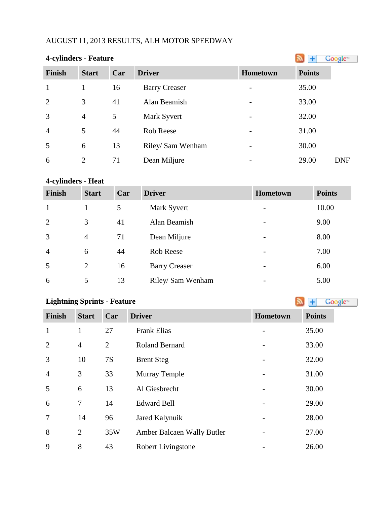# AUGUST 11, 2013 RESULTS, ALH MOTOR SPEEDWAY

| 4-cylinders - Feature |                |     |                      |          |               | Google <sup>®</sup> |
|-----------------------|----------------|-----|----------------------|----------|---------------|---------------------|
| <b>Finish</b>         | <b>Start</b>   | Car | <b>Driver</b>        | Hometown | <b>Points</b> |                     |
| $\mathbf{1}$          | 1              | 16  | <b>Barry Creaser</b> |          | 35.00         |                     |
| $\overline{2}$        | 3              | 41  | Alan Beamish         |          | 33.00         |                     |
| 3                     | $\overline{4}$ | 5   | Mark Syvert          |          | 32.00         |                     |
| $\overline{4}$        | 5              | 44  | Rob Reese            |          | 31.00         |                     |
| 5                     | 6              | 13  | Riley/ Sam Wenham    |          | 30.00         |                     |
| 6                     | $\overline{2}$ | 71  | Dean Miljure         |          | 29.00         | <b>DNF</b>          |

#### **4-cylinders - Heat**

| <b>Finish</b>  | <b>Start</b>   | Car | <b>Driver</b>        | <b>Hometown</b>          | <b>Points</b> |
|----------------|----------------|-----|----------------------|--------------------------|---------------|
| $\mathbf{1}$   |                | 5   | Mark Syvert          | $\overline{\phantom{0}}$ | 10.00         |
| 2              | 3              | 41  | Alan Beamish         | -                        | 9.00          |
| 3              | 4              | 71  | Dean Miljure         | $\overline{\phantom{a}}$ | 8.00          |
| $\overline{4}$ | 6              | 44  | Rob Reese            | -                        | 7.00          |
| 5              | $\overline{2}$ | 16  | <b>Barry Creaser</b> | $\overline{\phantom{a}}$ | 6.00          |
| 6              | 5              | 13  | Riley/ Sam Wenham    | $\overline{\phantom{0}}$ | 5.00          |

Google<sup>™</sup>

#### **Lightning Sprints - Feature**

# **Finish Start Car Driver <b>Hometown Points** 1 1 27 Frank Elias - 35.00 4 2 Roland Bernard - 33.00 10 7S Brent Steg - 32.00 3 33 Murray Temple - 31.00 6 13 Al Giesbrecht - 30.00 7 14 Edward Bell - 29.00 14 96 Jared Kalynuik - 28.00 2 35W Amber Balcaen Wally Butler - 27.00 8 43 Robert Livingstone - 26.00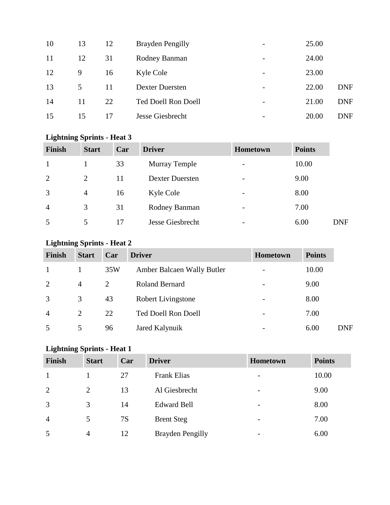| 10 | 13 | 12 | <b>Brayden Pengilly</b> | $\overline{\phantom{0}}$ | 25.00 |            |
|----|----|----|-------------------------|--------------------------|-------|------------|
| 11 | 12 | 31 | Rodney Banman           | $\overline{\phantom{a}}$ | 24.00 |            |
| 12 | 9  | 16 | Kyle Cole               | $\overline{\phantom{a}}$ | 23.00 |            |
| 13 | 5  | 11 | <b>Dexter Duersten</b>  |                          | 22.00 | <b>DNF</b> |
| 14 | 11 | 22 | Ted Doell Ron Doell     |                          | 21.00 | <b>DNF</b> |
| 15 | 15 | 17 | Jesse Giesbrecht        | $\overline{\phantom{0}}$ | 20.00 | <b>DNF</b> |

# **Lightning Sprints - Heat 3**

| <b>Finish</b>  | <b>Start</b> | Car | <b>Driver</b>          | <b>Hometown</b>          | <b>Points</b> |            |
|----------------|--------------|-----|------------------------|--------------------------|---------------|------------|
|                |              | 33  | <b>Murray Temple</b>   | $\overline{\phantom{0}}$ | 10.00         |            |
| 2              | 2            | 11  | <b>Dexter Duersten</b> | $\overline{\phantom{a}}$ | 9.00          |            |
| 3              | 4            | 16  | Kyle Cole              | -                        | 8.00          |            |
| $\overline{4}$ | 3            | 31  | Rodney Banman          | $\qquad \qquad$          | 7.00          |            |
| 5              | 5            | 17  | Jesse Giesbrecht       |                          | 6.00          | <b>DNF</b> |

# **Lightning Sprints - Heat 2**

| Finish         | <b>Start</b>   | Car | <b>Driver</b>              | Hometown | <b>Points</b> |            |
|----------------|----------------|-----|----------------------------|----------|---------------|------------|
|                |                | 35W | Amber Balcaen Wally Butler |          | 10.00         |            |
| 2              | 4              | 2   | <b>Roland Bernard</b>      |          | 9.00          |            |
| 3              | 3              | 43  | <b>Robert Livingstone</b>  |          | 8.00          |            |
| $\overline{4}$ | $\overline{2}$ | 22  | Ted Doell Ron Doell        |          | 7.00          |            |
| 5              | 5              | 96  | Jared Kalynuik             |          | 6.00          | <b>DNF</b> |

# **Lightning Sprints - Heat 1**

| Finish         | <b>Start</b> | Car | <b>Driver</b>           | <b>Hometown</b>          | <b>Points</b> |
|----------------|--------------|-----|-------------------------|--------------------------|---------------|
| 1              |              | 27  | <b>Frank Elias</b>      | $\overline{\phantom{a}}$ | 10.00         |
| 2              | 2            | 13  | Al Giesbrecht           | $\overline{\phantom{0}}$ | 9.00          |
| 3              | 3            | 14  | <b>Edward Bell</b>      | -                        | 8.00          |
| $\overline{4}$ | 5            | 7S  | <b>Brent Steg</b>       | $\overline{\phantom{a}}$ | 7.00          |
| 5              | 4            | 12  | <b>Brayden Pengilly</b> | $\overline{\phantom{a}}$ | 6.00          |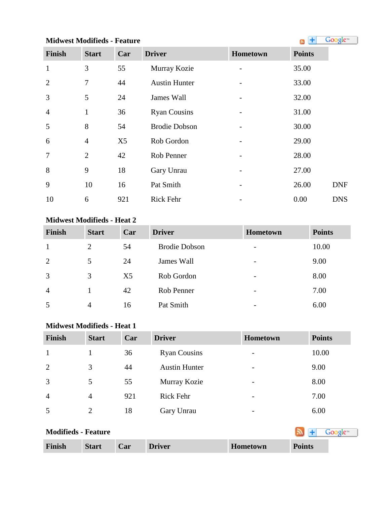# **MidwestModifieds - Feature All and Society All and Society All and Society All and Society All and Society All and Society All and Society All and Society All and Society All and Society All and Society All and Society**

| <b>Finish</b>  | <b>Start</b>   | Car            | <b>Driver</b>        | Hometown | <b>Points</b> |
|----------------|----------------|----------------|----------------------|----------|---------------|
| $\mathbf{1}$   | 3              | 55             | Murray Kozie         |          | 35.00         |
| 2              | 7              | 44             | <b>Austin Hunter</b> |          | 33.00         |
| 3              | 5              | 24             | James Wall           |          | 32.00         |
| $\overline{4}$ | $\mathbf{1}$   | 36             | <b>Ryan Cousins</b>  |          | 31.00         |
| 5              | 8              | 54             | <b>Brodie Dobson</b> |          | 30.00         |
| 6              | $\overline{4}$ | X <sub>5</sub> | Rob Gordon           |          | 29.00         |
| $\overline{7}$ | $\overline{2}$ | 42             | Rob Penner           |          | 28.00         |
| 8              | 9              | 18             | Gary Unrau           |          | 27.00         |
| 9              | 10             | 16             | Pat Smith            |          | 26.00         |
| 10             | 6              | 921            | <b>Rick Fehr</b>     |          | 0.00          |

# **Midwest Modifieds - Heat 2**

| Finish         | <b>Start</b> | Car            | <b>Driver</b>        | Hometown                 | <b>Points</b> |
|----------------|--------------|----------------|----------------------|--------------------------|---------------|
| 1              | 2            | 54             | <b>Brodie Dobson</b> | $\overline{\phantom{0}}$ | 10.00         |
| 2              | 5            | 24             | James Wall           | $\overline{\phantom{a}}$ | 9.00          |
| 3              | 3            | X <sub>5</sub> | Rob Gordon           | $\overline{\phantom{a}}$ | 8.00          |
| $\overline{4}$ |              | 42             | Rob Penner           | $\overline{\phantom{a}}$ | 7.00          |
| 5              | 4            | 16             | Pat Smith            | $\overline{\phantom{0}}$ | 6.00          |

# **Midwest Modifieds - Heat 1**

| <b>Finish</b>  | <b>Start</b>   | Car | <b>Driver</b>        | <b>Hometown</b>          | <b>Points</b> |
|----------------|----------------|-----|----------------------|--------------------------|---------------|
|                |                | 36  | <b>Ryan Cousins</b>  | $\overline{\phantom{a}}$ | 10.00         |
| 2              | 3              | 44  | <b>Austin Hunter</b> | $\overline{\phantom{a}}$ | 9.00          |
| 3              | 5              | 55  | Murray Kozie         | $\overline{\phantom{a}}$ | 8.00          |
| $\overline{4}$ | $\overline{4}$ | 921 | <b>Rick Fehr</b>     | $\overline{\phantom{a}}$ | 7.00          |
| 5              | $\overline{2}$ | 18  | Gary Unrau           | $\overline{\phantom{a}}$ | 6.00          |

| <b>Modifieds - Feature</b> |              |     |               |                 |               |
|----------------------------|--------------|-----|---------------|-----------------|---------------|
| Finish                     | <b>Start</b> | Car | <b>Driver</b> | <b>Hometown</b> | <b>Points</b> |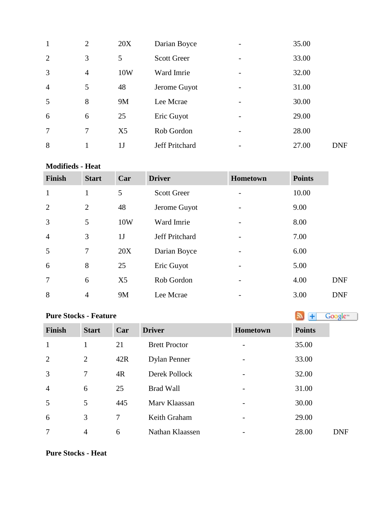| $\mathbf{1}$   | $\overline{2}$ | 20X            | Darian Boyce       |   | 35.00 |            |
|----------------|----------------|----------------|--------------------|---|-------|------------|
| $\overline{2}$ | 3              | 5              | <b>Scott Greer</b> |   | 33.00 |            |
| 3              | $\overline{4}$ | 10W            | Ward Imrie         | - | 32.00 |            |
| $\overline{4}$ | 5              | 48             | Jerome Guyot       |   | 31.00 |            |
| 5              | 8              | <b>9M</b>      | Lee Mcrae          |   | 30.00 |            |
| 6              | 6              | 25             | Eric Guyot         | - | 29.00 |            |
| 7              | 7              | X <sub>5</sub> | Rob Gordon         |   | 28.00 |            |
| 8              |                | 1 J            | Jeff Pritchard     |   | 27.00 | <b>DNF</b> |

#### **Modifieds - Heat**

| <b>Finish</b>  | <b>Start</b>   | Car            | <b>Driver</b>      | <b>Hometown</b>          | <b>Points</b> |            |
|----------------|----------------|----------------|--------------------|--------------------------|---------------|------------|
| $\mathbf{1}$   | $\mathbf{1}$   | 5              | <b>Scott Greer</b> |                          | 10.00         |            |
| $\overline{2}$ | $\overline{2}$ | 48             | Jerome Guyot       |                          | 9.00          |            |
| 3              | 5              | 10W            | Ward Imrie         | $\overline{\phantom{0}}$ | 8.00          |            |
| $\overline{4}$ | 3              | 1J             | Jeff Pritchard     |                          | 7.00          |            |
| 5              | 7              | 20X            | Darian Boyce       |                          | 6.00          |            |
| 6              | 8              | 25             | Eric Guyot         |                          | 5.00          |            |
| $\overline{7}$ | 6              | X <sub>5</sub> | Rob Gordon         |                          | 4.00          | <b>DNF</b> |
| 8              | $\overline{4}$ | 9M             | Lee Mcrae          |                          | 3.00          | <b>DNF</b> |

# **PureStocks - Feature Algebra Constant Constant Constant Constant Constant Constant Constant Constant Constant Constant Constant Constant Constant Constant Constant Constant Constant Constant Constant Constant Constan**

| <b>Finish</b>  | <b>Start</b>   | Car | <b>Driver</b>        | Hometown | <b>Points</b> |
|----------------|----------------|-----|----------------------|----------|---------------|
| $\mathbf{1}$   |                | 21  | <b>Brett Proctor</b> |          | 35.00         |
| $\overline{2}$ | 2              | 42R | <b>Dylan Penner</b>  |          | 33.00         |
| 3              | $\overline{7}$ | 4R  | Derek Pollock        |          | 32.00         |
| $\overline{4}$ | 6              | 25  | <b>Brad Wall</b>     |          | 31.00         |
| 5              | 5              | 445 | Mary Klaassan        |          | 30.00         |
| 6              | 3              | 7   | Keith Graham         |          | 29.00         |
| 7              | $\overline{4}$ | 6   | Nathan Klaassen      |          | 28.00         |

### **Pure Stocks - Heat**